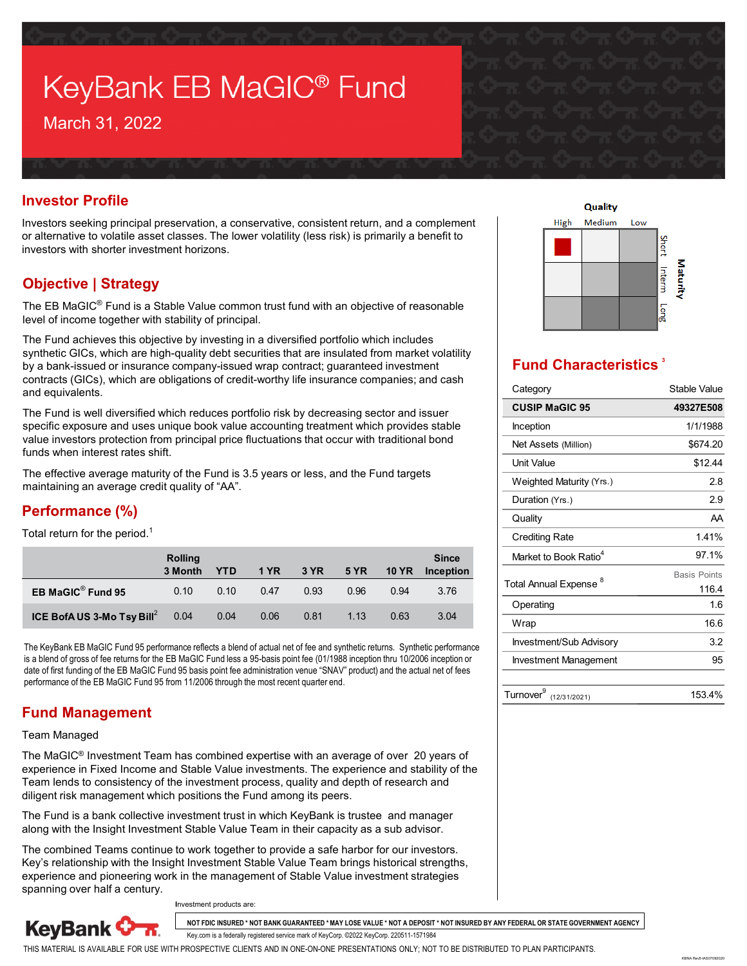# KeyBank EB MaGIC<sup>®</sup> Fund March 31, 2022

## **Investor Profile**

Investors seeking principal preservation, a conservative, consistent return, and a complement or alternative to volatile asset classes. The lower volatility (less risk) is primarily a benefit to investors with shorter investment horizons.

## **Objective | Strategy**

The EB MaGI $C^{\circ}$  Fund is a Stable Value common trust fund with an objective of reasonable level of income together with stability of principal.

The Fund achieves this objective by investing in a diversified portfolio which includes synthetic GICs, which are high-quality debt securities that are insulated from market volatility by a bank-issued or insurance company-issued wrap contract; guaranteed investment contracts (GICs), which are obligations of credit-worthy life insurance companies; and cash and equivalents.

The Fund is well diversified which reduces portfolio risk by decreasing sector and issuer specific exposure and uses unique book value accounting treatment which provides stable value investors protection from principal price fluctuations that occur with traditional bond funds when interest rates shift.

The effective average maturity of the Fund is 3.5 years or less, and the Fund targets maintaining an average credit quality of "AA".

# **Performance (%)**

Total return for the period. $1$ 

|                                     | <b>Rolling</b><br>3 Month | <b>YTD</b> | <b>1 YR</b> | 3 YR | 5 YR | <b>10 YR</b> | <b>Since</b><br>Inception |
|-------------------------------------|---------------------------|------------|-------------|------|------|--------------|---------------------------|
| EB MaGIC <sup>®</sup> Fund 95       | 0.10                      | 0.10       | 0.47        | 0.93 | 0.96 | 0.94         | 3.76                      |
| ICE BofA US 3-Mo Tsy Bill $^2$ 0.04 |                           | 0.04       | 0.06        | 0.81 | 1.13 | 0.63         | 3.04                      |

The KeyBank EB MaGIC Fund 95 performance reflects a blend of actual net of fee and synthetic returns. Synthetic performance is a blend of gross of fee returns for the EB MaGIC Fund less a 95-basis point fee (01/1988 inception thru 10/2006 inception or date of first funding of the EB MaGIC Fund 95 basis point fee administration venue "SNAV" product) and the actual net of fees performance of the EB MaGIC Fund 95 from 11/2006 through the most recent quarter end.

## **Fund Management**

Team Managed

The MaGIC® Investment Team has combined expertise with an average of over 20 years of experience in Fixed Income and Stable Value investments. The experience and stability of the Team lends to consistency of the investment process, quality and depth of research and diligent risk management which positions the Fund among its peers.

The Fund is a bank collective investment trust in which KeyBank is trustee and manager along with the Insight Investment Stable Value Team in their capacity as a sub advisor.

The combined Teams continue to work together to provide a safe harbor for our investors. Key's relationship with the Insight Investment Stable Value Team brings historical strengths, experience and pioneering work in the management of Stable Value investment strategies spanning over half a century.

**I**nvestment products are:



**NOT FDIC INSURED \* NOT BANK GUARANTEED \* MAY LOSE VALUE \* NOT A DEPOSIT \* NOT INSURED BY ANY FEDERAL OR STATE GOVERNMENT AGENCY**

Key.com is a federally registered service mark of KeyCorp. ©2022 KeyCorp. 220511-1571984

#### THIS MATERIAL IS AVAILABLE FOR USE WITH PROSPECTIVE CLIENTS AND IN ONE-ON-ONE PRESENTATIONS ONLY; NOT TO BE DISTRIBUTED TO PLAN PARTICIPANTS.



## **Fund Characteristics <sup>3</sup>**

| Category                              | Stable Value        |  |  |
|---------------------------------------|---------------------|--|--|
| <b>CUSIP MaGIC 95</b>                 | 49327E508           |  |  |
| Inception                             | 1/1/1988            |  |  |
| Net Assets (Million)                  | \$674.20            |  |  |
| Unit Value                            | \$12.44             |  |  |
| Weighted Maturity (Yrs.)              | 2.8                 |  |  |
| Duration (Yrs.)                       | 2.9                 |  |  |
| Quality                               | AA                  |  |  |
| <b>Crediting Rate</b>                 | 1.41%               |  |  |
| Market to Book Ratio <sup>4</sup>     | 97.1%               |  |  |
|                                       | <b>Basis Points</b> |  |  |
| Total Annual Expense $^8$             | 116.4               |  |  |
| Operating                             | 1.6                 |  |  |
| Wrap                                  | 16.6                |  |  |
| <b>Investment/Sub Advisory</b>        | 3.2                 |  |  |
| <b>Investment Management</b>          | 95                  |  |  |
|                                       |                     |  |  |
| Turnover <sup>9</sup><br>(12/31/2021) | 153.4%              |  |  |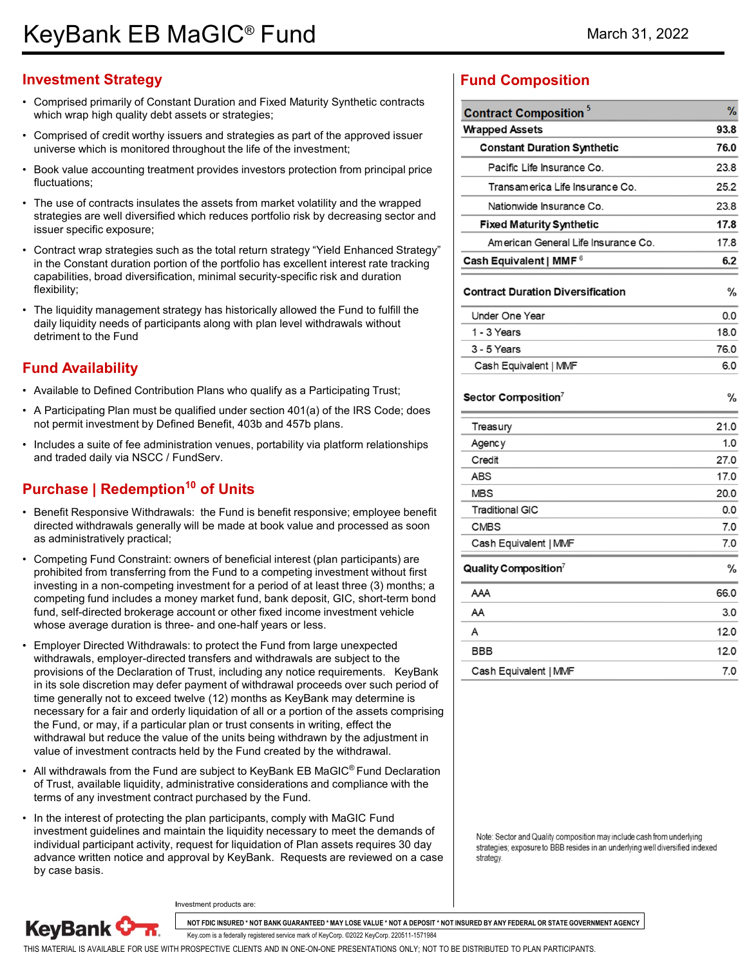## **Investment Strategy**

- Comprised primarily of Constant Duration and Fixed Maturity Synthetic contracts which wrap high quality debt assets or strategies;
- Comprised of credit worthy issuers and strategies as part of the approved issuer universe which is monitored throughout the life of the investment;
- Book value accounting treatment provides investors protection from principal price fluctuations;
- The use of contracts insulates the assets from market volatility and the wrapped strategies are well diversified which reduces portfolio risk by decreasing sector and issuer specific exposure;
- Contract wrap strategies such as the total return strategy "Yield Enhanced Strategy" in the Constant duration portion of the portfolio has excellent interest rate tracking capabilities, broad diversification, minimal security-specific risk and duration flexibility;
- The liquidity management strategy has historically allowed the Fund to fulfill the daily liquidity needs of participants along with plan level withdrawals without detriment to the Fund

#### **Fund Availability**

- Available to Defined Contribution Plans who qualify as a Participating Trust;
- A Participating Plan must be qualified under section 401(a) of the IRS Code; does not permit investment by Defined Benefit, 403b and 457b plans.
- Includes a suite of fee administration venues, portability via platform relationships and traded daily via NSCC / FundServ.

# **Purchase | Redemption<sup>10</sup> of Units**

- Benefit Responsive Withdrawals: the Fund is benefit responsive; employee benefit directed withdrawals generally will be made at book value and processed as soon as administratively practical;
- Competing Fund Constraint: owners of beneficial interest (plan participants) are prohibited from transferring from the Fund to a competing investment without first investing in a non-competing investment for a period of at least three (3) months; a competing fund includes a money market fund, bank deposit, GIC, short-term bond fund, self-directed brokerage account or other fixed income investment vehicle whose average duration is three- and one-half years or less.
- Employer Directed Withdrawals: to protect the Fund from large unexpected withdrawals, employer-directed transfers and withdrawals are subject to the provisions of the Declaration of Trust, including any notice requirements. KeyBank in its sole discretion may defer payment of withdrawal proceeds over such period of time generally not to exceed twelve (12) months as KeyBank may determine is necessary for a fair and orderly liquidation of all or a portion of the assets comprising the Fund, or may, if a particular plan or trust consents in writing, effect the withdrawal but reduce the value of the units being withdrawn by the adjustment in value of investment contracts held by the Fund created by the withdrawal.
- All withdrawals from the Fund are subject to KeyBank EB MaGIC<sup>®</sup> Fund Declaration of Trust, available liquidity, administrative considerations and compliance with the terms of any investment contract purchased by the Fund.
- In the interest of protecting the plan participants, comply with MaGIC Fund investment guidelines and maintain the liquidity necessary to meet the demands of individual participant activity, request for liquidation of Plan assets requires 30 day advance written notice and approval by KeyBank. Requests are reviewed on a case by case basis.

**I**nvestment products are:

**KeyBank <del>Orr</del>** 

**NOT FDIC INSURED \* NOT BANK GUARANTEED \* MAY LOSE VALUE \* NOT A DEPOSIT \* NOT INSURED BY ANY FEDERAL OR STATE GOVERNMENT AGENCY**

Key.com is a federally registered service mark of KeyCorp. ©2022 KeyCorp. 220511-1571984

#### THIS MATERIAL IS AVAILABLE FOR USE WITH PROSPECTIVE CLIENTS AND IN ONE-ON-ONE PRESENTATIONS ONLY; NOT TO BE DISTRIBUTED TO PLAN PARTICIPANTS.

# **Fund Composition**

| <b>Contract Composition<sup>5</sup></b>  | %    |
|------------------------------------------|------|
| <b>Wrapped Assets</b>                    | 93.8 |
| <b>Constant Duration Synthetic</b>       | 76.0 |
| Pacific Life Insurance Co.               | 23.8 |
| Transamerica Life Insurance Co.          | 25.2 |
| Nationwide Insurance Co.                 | 23.8 |
| <b>Fixed Maturity Synthetic</b>          | 17.8 |
| American General Life Insurance Co.      | 17.8 |
| Cash Equivalent   MMF <sup>6</sup>       | 6.2  |
| <b>Contract Duration Diversification</b> | %    |
| <b>Under One Year</b>                    | 0.0  |
| 1 - 3 Years                              | 18.0 |
| 3 - 5 Years                              | 76.0 |
| Cash Equivalent   MMF                    | 6.0  |
| Sector Composition <sup>7</sup>          | %    |
| Treasury                                 | 21.0 |
| Agency                                   | 1.0  |
| Credit                                   | 27.0 |
| <b>ABS</b>                               | 17.0 |
| <b>MBS</b>                               | 20.0 |
| <b>Traditional GIC</b>                   | 0.0  |
| <b>CMBS</b>                              | 7.0  |
| Cash Equivalent   MMF                    | 7.0  |
| Quality Composition <sup>7</sup>         | %    |
| AAA                                      | 66.0 |
| AA                                       | 3.0  |
| A                                        | 12.0 |
| <b>BBB</b>                               | 12.0 |
| Cash Equivalent   MMF                    | 7.0  |

Note: Sector and Quality composition may include cash from underlying strategies; exposure to BBB resides in an underlying well diversified indexed strategy.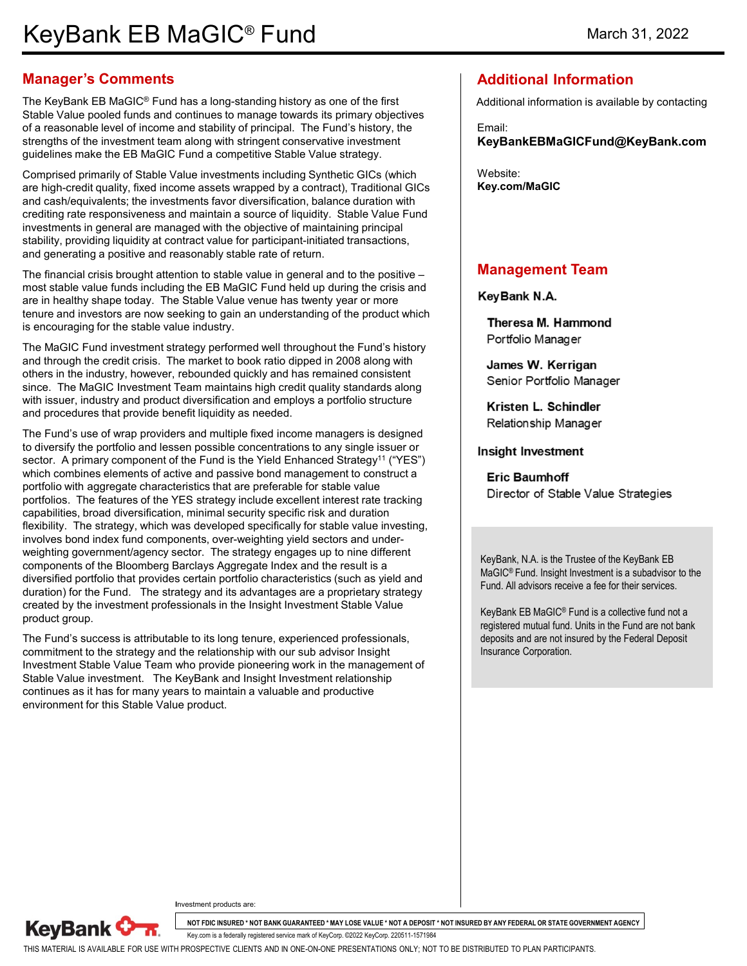#### **Manager's Comments**

The KeyBank EB MaGIC® Fund has a long-standing history as one of the first Stable Value pooled funds and continues to manage towards its primary objectives of a reasonable level of income and stability of principal. The Fund's history, the strengths of the investment team along with stringent conservative investment guidelines make the EB MaGIC Fund a competitive Stable Value strategy.

Comprised primarily of Stable Value investments including Synthetic GICs (which are high-credit quality, fixed income assets wrapped by a contract), Traditional GICs and cash/equivalents; the investments favor diversification, balance duration with crediting rate responsiveness and maintain a source of liquidity. Stable Value Fund investments in general are managed with the objective of maintaining principal stability, providing liquidity at contract value for participant-initiated transactions, and generating a positive and reasonably stable rate of return.

The financial crisis brought attention to stable value in general and to the positive – most stable value funds including the EB MaGIC Fund held up during the crisis and are in healthy shape today. The Stable Value venue has twenty year or more tenure and investors are now seeking to gain an understanding of the product which is encouraging for the stable value industry.

The MaGIC Fund investment strategy performed well throughout the Fund's history and through the credit crisis. The market to book ratio dipped in 2008 along with others in the industry, however, rebounded quickly and has remained consistent since. The MaGIC Investment Team maintains high credit quality standards along with issuer, industry and product diversification and employs a portfolio structure and procedures that provide benefit liquidity as needed.

The Fund's use of wrap providers and multiple fixed income managers is designed to diversify the portfolio and lessen possible concentrations to any single issuer or sector. A primary component of the Fund is the Yield Enhanced Strategy<sup>11</sup> ("YES") which combines elements of active and passive bond management to construct a portfolio with aggregate characteristics that are preferable for stable value portfolios. The features of the YES strategy include excellent interest rate tracking capabilities, broad diversification, minimal security specific risk and duration flexibility. The strategy, which was developed specifically for stable value investing, involves bond index fund components, over-weighting yield sectors and underweighting government/agency sector. The strategy engages up to nine different components of the Bloomberg Barclays Aggregate Index and the result is a diversified portfolio that provides certain portfolio characteristics (such as yield and duration) for the Fund. The strategy and its advantages are a proprietary strategy created by the investment professionals in the Insight Investment Stable Value product group.

The Fund's success is attributable to its long tenure, experienced professionals, commitment to the strategy and the relationship with our sub advisor Insight Investment Stable Value Team who provide pioneering work in the management of Stable Value investment. The KeyBank and Insight Investment relationship continues as it has for many years to maintain a valuable and productive environment for this Stable Value product.

**I**nvestment products are:

#### **Additional Information**

Additional information is available by contacting

Email: **KeyBankEBMaGICFund@KeyBank.com**

Website: **Key.com/MaGIC**

#### **Management Team**

KeyBank N.A.

Theresa M. Hammond Portfolio Manager

James W. Kerrigan Senior Portfolio Manager

Kristen L. Schindler Relationship Manager

#### **Insight Investment**

**Eric Baumhoff** Director of Stable Value Strategies

KeyBank, N.A. is the Trustee of the KeyBank EB MaGIC® Fund. Insight Investment is a subadvisor to the Fund. All advisors receive a fee for their services.

KeyBank EB MaGIC® Fund is a collective fund not a registered mutual fund. Units in the Fund are not bank deposits and are not insured by the Federal Deposit Insurance Corporation.

**KeyBank** 

**NOT FDIC INSURED \* NOT BANK GUARANTEED \* MAY LOSE VALUE \* NOT A DEPOSIT \* NOT INSURED BY ANY FEDERAL OR STATE GOVERNMENT AGENCY**

Key.com is a federally registered service mark of KeyCorp. ©2022 KeyCorp. 220511-1571984

THIS MATERIAL IS AVAILABLE FOR USE WITH PROSPECTIVE CLIENTS AND IN ONE-ON-ONE PRESENTATIONS ONLY; NOT TO BE DISTRIBUTED TO PLAN PARTICIPANTS.